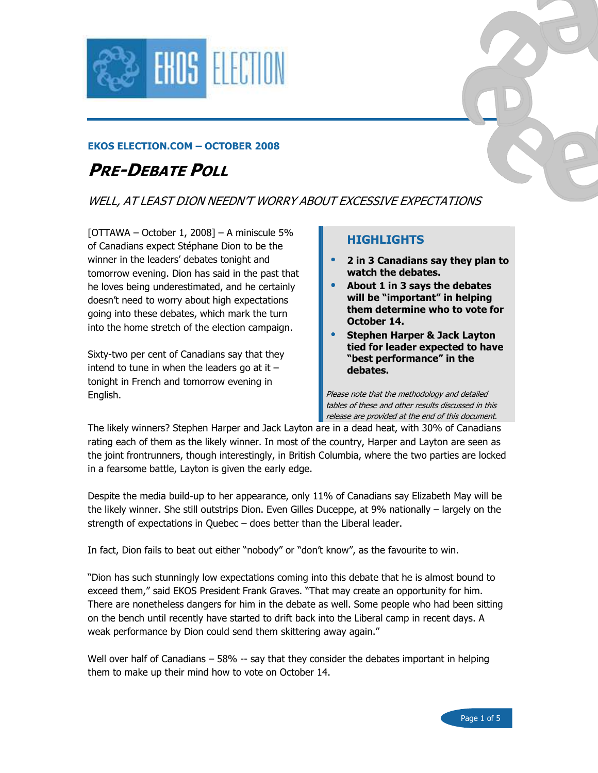

#### EKOS ELECTION.COM – OCTOBER 2008

# PRE-DEBATE POLL

#### WELL, AT LEAST DION NEEDN'T WORRY ABOUT EXCESSIVE EXPECTATIONS

 $[OTTAWA - October 1, 2008] - A miniscule 5%$ of Canadians expect Stéphane Dion to be the winner in the leaders' debates tonight and tomorrow evening. Dion has said in the past that he loves being underestimated, and he certainly doesn't need to worry about high expectations going into these debates, which mark the turn into the home stretch of the election campaign.

Sixty-two per cent of Canadians say that they intend to tune in when the leaders go at it  $$ tonight in French and tomorrow evening in English.

#### HIGHLIGHTS

- 2 in 3 Canadians say they plan to watch the debates.
- About 1 in 3 says the debates will be "important" in helping them determine who to vote for October 14.
- Stephen Harper & Jack Layton tied for leader expected to have "best performance" in the debates.

Please note that the methodology and detailed tables of these and other results discussed in this release are provided at the end of this document.

The likely winners? Stephen Harper and Jack Layton are in a dead heat, with 30% of Canadians rating each of them as the likely winner. In most of the country, Harper and Layton are seen as the joint frontrunners, though interestingly, in British Columbia, where the two parties are locked in a fearsome battle, Layton is given the early edge.

Despite the media build-up to her appearance, only 11% of Canadians say Elizabeth May will be the likely winner. She still outstrips Dion. Even Gilles Duceppe, at 9% nationally – largely on the strength of expectations in Quebec – does better than the Liberal leader.

In fact, Dion fails to beat out either "nobody" or "don't know", as the favourite to win.

"Dion has such stunningly low expectations coming into this debate that he is almost bound to exceed them," said EKOS President Frank Graves. "That may create an opportunity for him. There are nonetheless dangers for him in the debate as well. Some people who had been sitting on the bench until recently have started to drift back into the Liberal camp in recent days. A weak performance by Dion could send them skittering away again."

Well over half of Canadians – 58% -- say that they consider the debates important in helping them to make up their mind how to vote on October 14.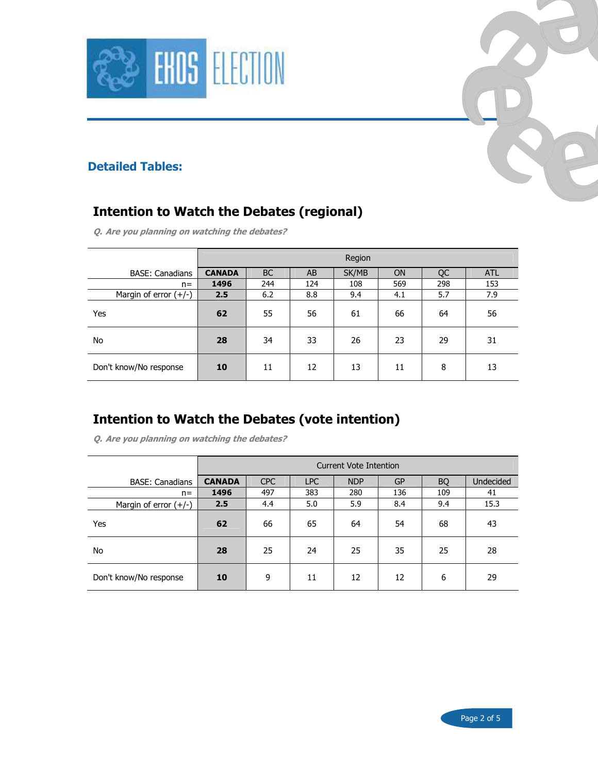



#### Detailed Tables:

## Intention to Watch the Debates (regional)

Q. Are you planning on watching the debates?

|                         | Region        |           |     |       |           |     |            |  |
|-------------------------|---------------|-----------|-----|-------|-----------|-----|------------|--|
| <b>BASE: Canadians</b>  | <b>CANADA</b> | <b>BC</b> | AB  | SK/MB | <b>ON</b> | QC  | <b>ATL</b> |  |
| $n =$                   | 1496          | 244       | 124 | 108   | 569       | 298 | 153        |  |
| Margin of error $(+/-)$ | 2.5           | 6.2       | 8.8 | 9.4   | 4.1       | 5.7 | 7.9        |  |
| Yes                     | 62            | 55        | 56  | 61    | 66        | 64  | 56         |  |
| No                      | 28            | 34        | 33  | 26    | 23        | 29  | 31         |  |
| Don't know/No response  | 10            | 11        | 12  | 13    | 11        | 8   | 13         |  |

#### Intention to Watch the Debates (vote intention)

Q. Are you planning on watching the debates?

|                         | Current Vote Intention |            |            |            |           |           |           |  |
|-------------------------|------------------------|------------|------------|------------|-----------|-----------|-----------|--|
| <b>BASE: Canadians</b>  | <b>CANADA</b>          | <b>CPC</b> | <b>LPC</b> | <b>NDP</b> | <b>GP</b> | <b>BQ</b> | Undecided |  |
| $n =$                   | 1496                   | 497        | 383        | 280        | 136       | 109       | 41        |  |
| Margin of error $(+/-)$ | 2.5                    | 4.4        | 5.0        | 5.9        | 8.4       | 9.4       | 15.3      |  |
| Yes                     | 62                     | 66         | 65         | 64         | 54        | 68        | 43        |  |
| No                      | 28                     | 25         | 24         | 25         | 35        | 25        | 28        |  |
| Don't know/No response  | 10                     | 9          | 11         | 12         | 12        | 6         | 29        |  |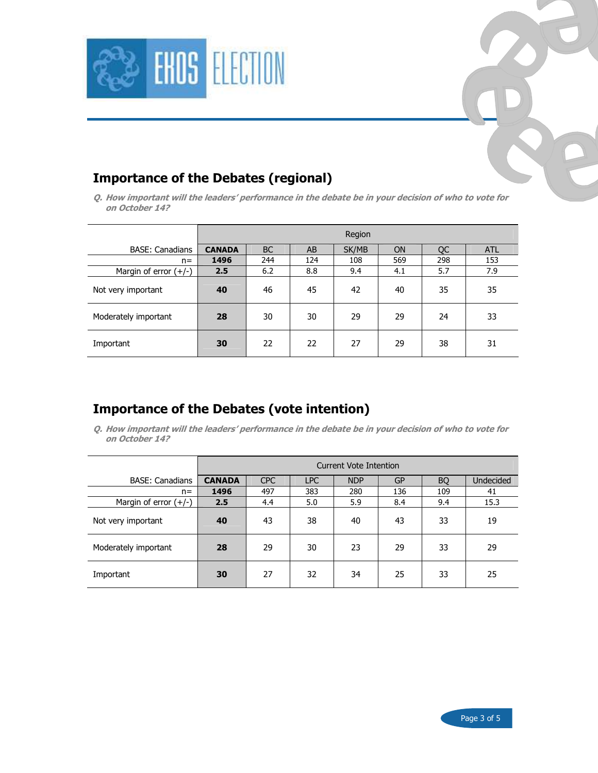



#### Importance of the Debates (regional)

Q. How important will the leaders' performance in the debate be in your decision of who to vote for on October 14?

|                         | Region        |           |     |       |           |     |            |  |
|-------------------------|---------------|-----------|-----|-------|-----------|-----|------------|--|
| <b>BASE: Canadians</b>  | <b>CANADA</b> | <b>BC</b> | AB  | SK/MB | <b>ON</b> | QC  | <b>ATL</b> |  |
| $n =$                   | 1496          | 244       | 124 | 108   | 569       | 298 | 153        |  |
| Margin of error $(+/-)$ | 2.5           | 6.2       | 8.8 | 9.4   | 4.1       | 5.7 | 7.9        |  |
| Not very important      | 40            | 46        | 45  | 42    | 40        | 35  | 35         |  |
| Moderately important    | 28            | 30        | 30  | 29    | 29        | 24  | 33         |  |
| Important               | 30            | 22        | 22  | 27    | 29        | 38  | 31         |  |

### Importance of the Debates (vote intention)

Q. How important will the leaders' performance in the debate be in your decision of who to vote for on October 14?

|                         | Current Vote Intention |            |            |            |           |           |                  |  |
|-------------------------|------------------------|------------|------------|------------|-----------|-----------|------------------|--|
| <b>BASE: Canadians</b>  | <b>CANADA</b>          | <b>CPC</b> | <b>LPC</b> | <b>NDP</b> | <b>GP</b> | <b>BQ</b> | <b>Undecided</b> |  |
| $n =$                   | 1496                   | 497        | 383        | 280        | 136       | 109       | 41               |  |
| Margin of error $(+/-)$ | 2.5                    | 4.4        | 5.0        | 5.9        | 8.4       | 9.4       | 15.3             |  |
| Not very important      | 40                     | 43         | 38         | 40         | 43        | 33        | 19               |  |
| Moderately important    | 28                     | 29         | 30         | 23         | 29        | 33        | 29               |  |
| Important               | 30                     | 27         | 32         | 34         | 25        | 33        | 25               |  |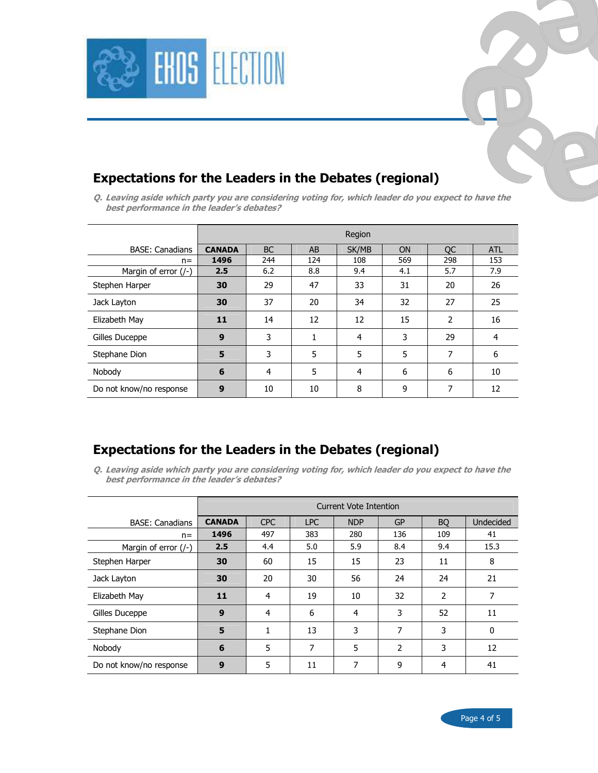

#### Expectations for the Leaders in the Debates (regional)

Q. Leaving aside which party you are considering voting for, which leader do you expect to have the best performance in the leader's debates?

|                         | Region        |           |     |       |           |           |            |  |
|-------------------------|---------------|-----------|-----|-------|-----------|-----------|------------|--|
| <b>BASE: Canadians</b>  | <b>CANADA</b> | <b>BC</b> | AB  | SK/MB | <b>ON</b> | <b>OC</b> | <b>ATL</b> |  |
| $n =$                   | 1496          | 244       | 124 | 108   | 569       | 298       | 153        |  |
| Margin of error (/-)    | 2.5           | 6.2       | 8.8 | 9.4   | 4.1       | 5.7       | 7.9        |  |
| Stephen Harper          | 30            | 29        | 47  | 33    | 31        | 20        | 26         |  |
| Jack Layton             | 30            | 37        | 20  | 34    | 32        | 27        | 25         |  |
| Elizabeth May           | 11            | 14        | 12  | 12    | 15        | 2         | 16         |  |
| Gilles Duceppe          | 9             | 3         | 1   | 4     | 3         | 29        | 4          |  |
| Stephane Dion           | 5             | 3         | 5   | 5     | 5         | 7         | 6          |  |
| Nobody                  | 6             | 4         | 5   | 4     | 6         | 6         | 10         |  |
| Do not know/no response | 9             | 10        | 10  | 8     | 9         | 7         | 12         |  |

#### Expectations for the Leaders in the Debates (regional)

Q. Leaving aside which party you are considering voting for, which leader do you expect to have the best performance in the leader's debates?

|                            | Current Vote Intention |            |            |            |           |           |           |  |
|----------------------------|------------------------|------------|------------|------------|-----------|-----------|-----------|--|
| <b>BASE: Canadians</b>     | <b>CANADA</b>          | <b>CPC</b> | <b>LPC</b> | <b>NDP</b> | <b>GP</b> | <b>BO</b> | Undecided |  |
| $n =$                      | 1496                   | 497        | 383        | 280        | 136       | 109       | 41        |  |
| Margin of error $($ /- $)$ | 2.5                    | 4.4        | 5.0        | 5.9        | 8.4       | 9.4       | 15.3      |  |
| Stephen Harper             | 30                     | 60         | 15         | 15         | 23        | 11        | 8         |  |
| Jack Layton                | 30                     | 20         | 30         | 56         | 24        | 24        | 21        |  |
| Elizabeth May              | 11                     | 4          | 19         | 10         | 32        | 2         | 7         |  |
| Gilles Duceppe             | 9                      | 4          | 6          | 4          | 3         | 52        | 11        |  |
| Stephane Dion              | 5                      | 1          | 13         | 3          | 7         | 3         | 0         |  |
| Nobody                     | 6                      | 5          | 7          | 5          | 2         | 3         | 12        |  |
| Do not know/no response    | 9                      | 5          | 11         | 7          | 9         | 4         | 41        |  |